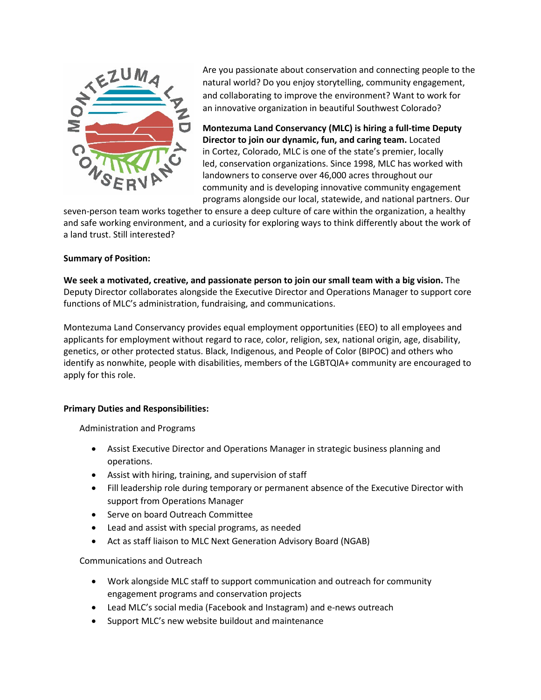

Are you passionate about conservation and connecting people to the natural world? Do you enjoy storytelling, community engagement, and collaborating to improve the environment? Want to work for an innovative organization in beautiful Southwest Colorado?

**Montezuma Land Conservancy (MLC) is hiring a full-time Deputy Director to join our dynamic, fun, and caring team.** Located in Cortez, Colorado, MLC is one of the state's premier, locally led, conservation organizations. Since 1998, MLC has worked with landowners to conserve over 46,000 acres throughout our community and is developing innovative community engagement programs alongside our local, statewide, and national partners. Our

seven-person team works together to ensure a deep culture of care within the organization, a healthy and safe working environment, and a curiosity for exploring ways to think differently about the work of a land trust. Still interested?

# **Summary of Position:**

**We seek a motivated, creative, and passionate person to join our small team with a big vision.** The Deputy Director collaborates alongside the Executive Director and Operations Manager to support core functions of MLC's administration, fundraising, and communications.

Montezuma Land Conservancy provides equal employment opportunities (EEO) to all employees and applicants for employment without regard to race, color, religion, sex, national origin, age, disability, genetics, or other protected status. Black, Indigenous, and People of Color (BIPOC) and others who identify as nonwhite, people with disabilities, members of the LGBTQIA+ community are encouraged to apply for this role. 

# **Primary Duties and Responsibilities:**

Administration and Programs

- Assist Executive Director and Operations Manager in strategic business planning and operations.
- Assist with hiring, training, and supervision of staff
- Fill leadership role during temporary or permanent absence of the Executive Director with support from Operations Manager
- Serve on board Outreach Committee
- Lead and assist with special programs, as needed
- Act as staff liaison to MLC Next Generation Advisory Board (NGAB)

# Communications and Outreach

- Work alongside MLC staff to support communication and outreach for community engagement programs and conservation projects
- Lead MLC's social media (Facebook and Instagram) and e-news outreach
- Support MLC's new website buildout and maintenance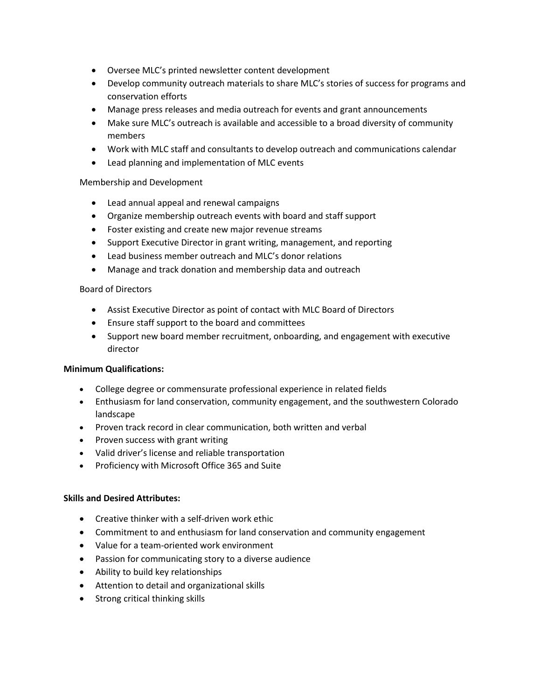- Oversee MLC's printed newsletter content development
- Develop community outreach materials to share MLC's stories of success for programs and conservation efforts
- Manage press releases and media outreach for events and grant announcements
- Make sure MLC's outreach is available and accessible to a broad diversity of community members
- Work with MLC staff and consultants to develop outreach and communications calendar
- Lead planning and implementation of MLC events

# Membership and Development

- Lead annual appeal and renewal campaigns
- Organize membership outreach events with board and staff support
- Foster existing and create new major revenue streams
- Support Executive Director in grant writing, management, and reporting
- Lead business member outreach and MLC's donor relations
- Manage and track donation and membership data and outreach

#### Board of Directors

- Assist Executive Director as point of contact with MLC Board of Directors
- Ensure staff support to the board and committees
- Support new board member recruitment, onboarding, and engagement with executive director

# **Minimum Qualifications:**

- College degree or commensurate professional experience in related fields
- Enthusiasm for land conservation, community engagement, and the southwestern Colorado landscape
- Proven track record in clear communication, both written and verbal
- Proven success with grant writing
- Valid driver's license and reliable transportation
- Proficiency with Microsoft Office 365 and Suite

# **Skills and Desired Attributes:**

- Creative thinker with a self-driven work ethic
- Commitment to and enthusiasm for land conservation and community engagement
- Value for a team-oriented work environment
- Passion for communicating story to a diverse audience
- Ability to build key relationships
- Attention to detail and organizational skills
- Strong critical thinking skills